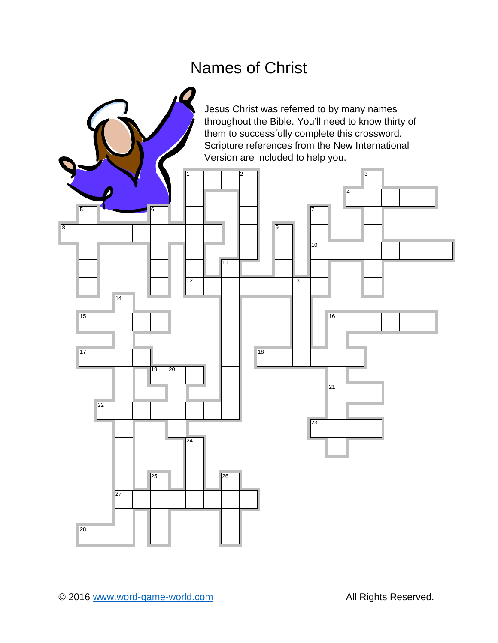# Names of Christ

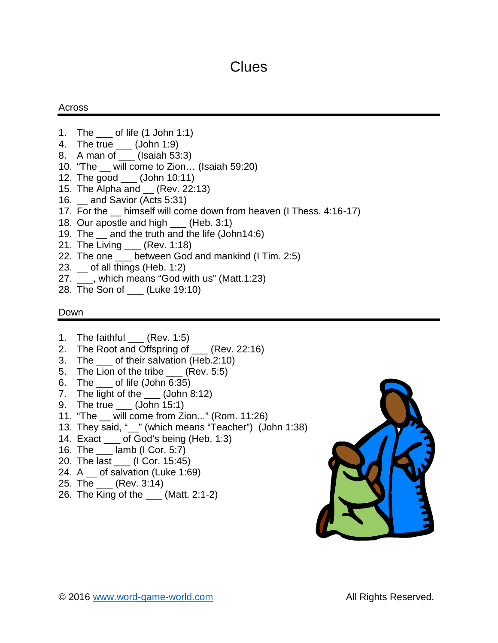## **Clues**

### Across

- 1. The \_\_\_ of life (1 John 1:1)
- 4. The true \_\_\_ (John 1:9)
- 8. A man of \_\_\_ (Isaiah 53:3)
- 10. "The \_\_ will come to Zion… (Isaiah 59:20)
- 12. The good \_\_\_ (John 10:11)
- 15. The Alpha and \_\_ (Rev. 22:13)
- 16. \_\_ and Savior (Acts 5:31)
- 17. For the \_\_ himself will come down from heaven (I Thess. 4:16-17)
- 18. Our apostle and high \_\_\_ (Heb. 3:1)
- 19. The \_\_ and the truth and the life (John14:6)
- 21. The Living \_\_\_ (Rev. 1:18)
- 22. The one \_\_\_ between God and mankind (I Tim. 2:5)
- 23. \_\_ of all things (Heb. 1:2)
- 27. \_\_\_, which means "God with us" (Matt.1:23)
- 28. The Son of \_\_\_ (Luke 19:10)

#### Down

- 1. The faithful \_\_\_ (Rev. 1:5)
- 2. The Root and Offspring of \_\_\_ (Rev. 22:16)
- 3. The \_\_\_ of their salvation (Heb.2:10)
- 5. The Lion of the tribe \_\_\_ (Rev. 5:5)
- 6. The  $\qquad$  of life (John 6:35)
- 7. The light of the \_\_\_\_ (John 8:12)
- 9. The true \_\_\_ (John 15:1)
- 11. "The \_\_ will come from Zion..." (Rom. 11:26)
- 13. They said, "\_\_" (which means "Teacher") (John 1:38)
- 14. Exact of God's being (Heb. 1:3)
- 16. The \_\_\_ lamb (I Cor. 5:7)
- 20. The last \_\_\_ (I Cor. 15:45)
- 24. A \_\_ of salvation (Luke 1:69)
- 25. The \_\_\_ (Rev. 3:14)
- 26. The King of the \_\_\_ (Matt. 2:1-2)